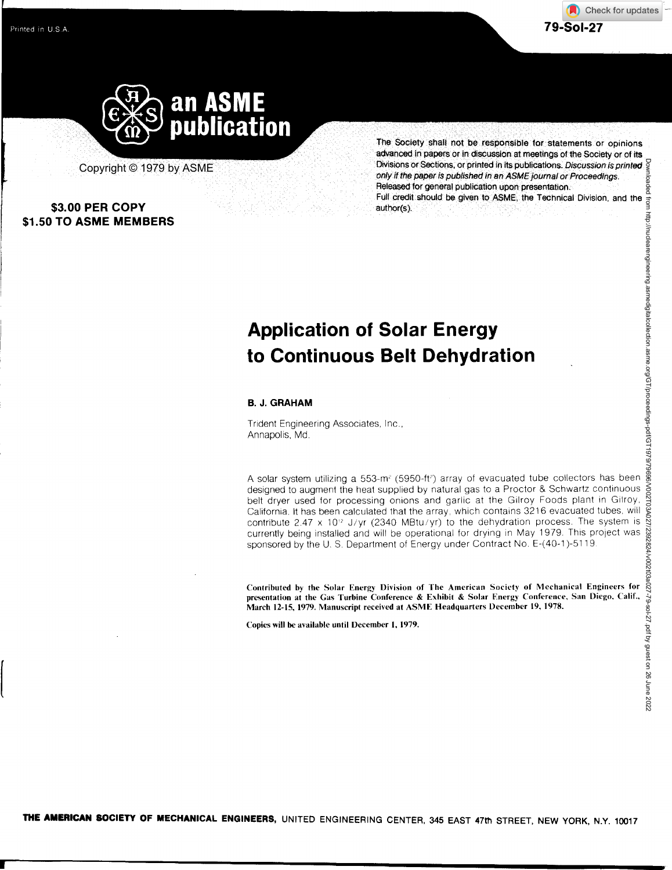

Copyright © 1979 by ASME

## **\$3.00 PER COPY \$1.50 TO ASME MEMBERS**

The Society shall not be responsible for statements or opinions advanced in papers or in discussion at meetings of the Society or of its Down Divisions or Sections, or printed in its publications. *Discussion is printed only if the paper is published in an ASME journal or Proceedings.* Released for general publication upon presentation. Full credit should be given to **ASME,** the Technical Division, and the author(s).

# **Application of Solar Energy to Continuous Belt Dehydration**

### **B. J. GRAHAM**

Trident Engineering Associates, Inc., Annapolis, Md.

A solar system utilizing a 553-m<sup>2</sup> (5950-ft<sup>2</sup>) array of evacuated tube collectors has been designed to augment the heat supplied by natural gas to a Proctor & Schwartz continuous belt dryer used for processing onions and garlic at the Gilroy Foods plant in Gilroy, California. It has been calculated that the array, which contains 3216 evacuated tubes, will contribute 2.47 x 10<sup>12</sup> J/yr (2340 MBtu/yr) to the dehydration process. The system is currently being installed and will be operational for drying in May 1979. This project was sponsored by the U. S. Department of Energy under Contract No. E-(40-1)-51 19.

Contributed by the Solar Energy Division of The American Society of Mechanical Engineers for presentation at the Gas Turbine Conference & Exhibit & Solar Energy Conference, San Diego, Calif., March 12-15, 1979. Manuscript received at ASME Headquarters December 19, 1978.

Copies will be available until December 1, 1979.

**THE AMERICAN SOCIETY OF MECHANICAL ENGINEERS,** UNITED ENGINEERING CENTER, **345 EAST 47th STREET, NEW YORK, N.Y. 10017**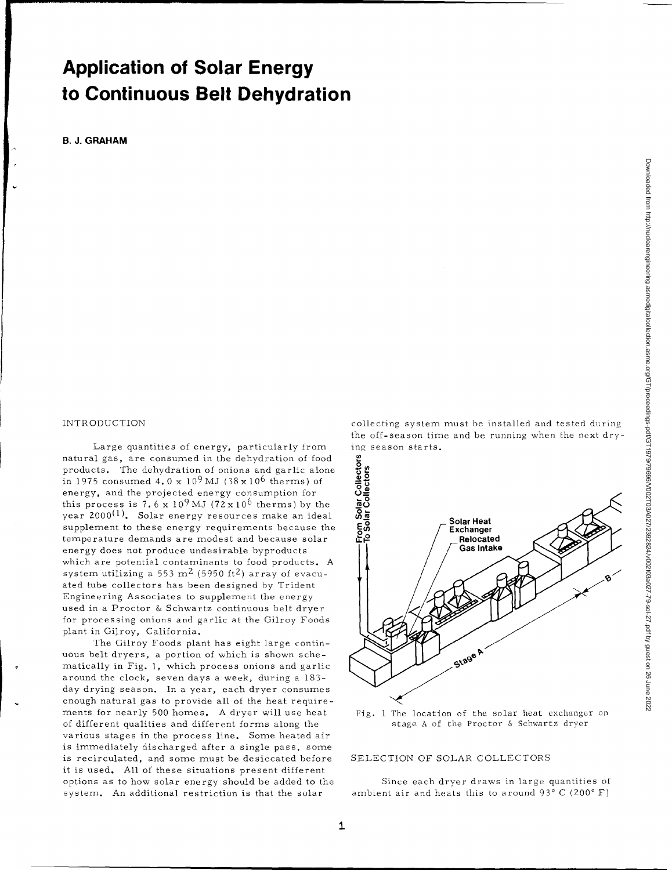## **Application of Solar Energy** to Continuous Belt Dehydration

**B. J. GRAHAM** 

### INTRODUCTION

Large quantities of energy, particularly from natural gas, are consumed in the dehydration of food products. The dehydration of onions and garlic alone in 1975 consumed  $4.0 \times 10^9$  MJ (38 $\times 10^6$  therms) of energy, and the projected energy consumption for this process is  $7.6 \times 10^9$  MJ ( $72 \times 10^6$  therms) by the  $year$  2000<sup>(1)</sup>. Solar energy resources make an ideal supplement to these energy requirements because the temperature demands are modest and because solar energy does not produce undesirable byproducts which are potential contaminants to food products. A system utilizing a 553 m<sup>2</sup> (5950 ft<sup>2</sup>) array of evacuated tube collectors has been designed by Trident Engineering Associates to supplement the energy used in a Proctor & Schwartz continuous belt dryer for processing onions and garlic at the Gilroy Foods plant in Gilroy, California.

The Gilroy Foods plant has eight large continuous belt dryers, a portion of which is shown schematically in Fig. 1, which process onions and garlic around the clock, seven days a week, during a 183 day drying season. In a year, each dryer consumes enough natural gas to provide all of the heat requirements for nearly 500 homes. A dryer will use heat of different qualities and different forms along the various stages in the process line. Some heated air is immediately discharged after a single pass, some is recirculated, and some must be desiccated before it is used. All of these situations present different options as to how solar energy should be added to the system. An additional restriction is that the solar

collecting system must be installed and tested during the off-season time and be running when the next drying season starts.



Fig. 1 The location of the solar heat exchanger on stage A of the Proctor & Schwartz dryer

### SELECTION OF SOLAR COLLECTORS

Since each dryer draws in large quantities of ambient air and heats this to around  $93^{\circ}$  C (200 $^{\circ}$  F)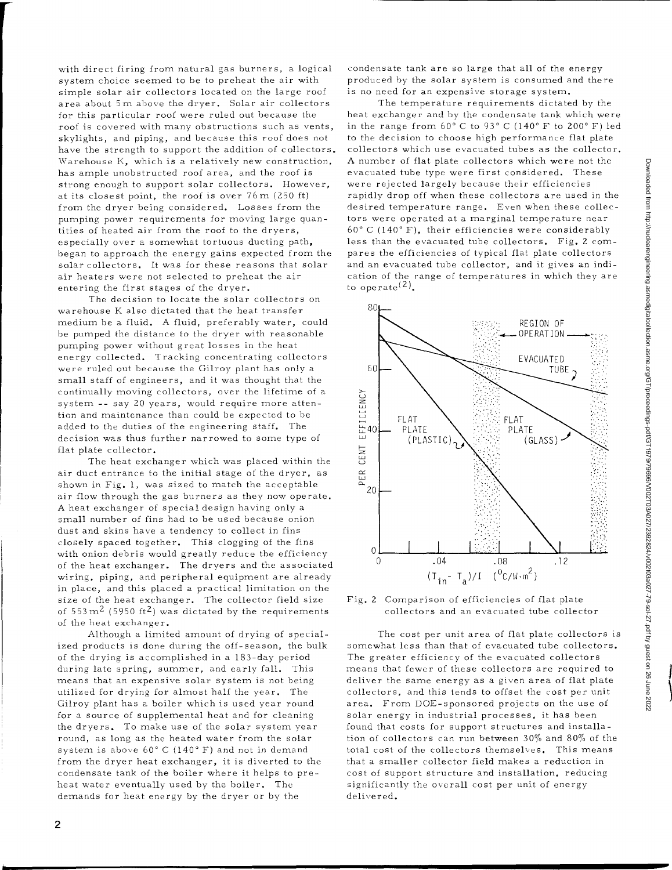with direct firing from natural gas burners, a logical system choice seemed to be to preheat the air with simple solar air collectors located on the large roof area about 5m above the dryer. Solar air collectors for this particular roof were ruled out because the roof is covered with many obstructions such as vents, skylights, and piping, and because this roof does not have the strength to support the addition of collectors. Warehouse K, which is a relatively new construction, has ample unobstructed roof area, and the roof is strong enough to support solar collectors. However, at its closest point, the roof is over 76m (250 ft) from the dryer being considered. Losses from the pumping power requirements for moving large quantities of heated air from the roof to the dryers, especially over a somewhat tortuous ducting path, began to approach the energy gains expected from the solar collectors. It was for these reasons that solar air heaters were not selected to preheat the air entering the first stages of the dryer.

The decision to locate the solar collectors on warehouse K also dictated that the heat transfer medium be a fluid. A fluid, preferably water, could be pumped the distance to the dryer with reasonable pumping power without great losses in the heat energy collected. Tracking concentrating collectors were ruled out because the Gilroy plant has only a small staff of engineers, and it was thought that the continually moving collectors, over the lifetime of a system -- say 20 years, would require more attention and maintenance than could be expected to be added to the duties of the engineering staff. The decision was thus further narrowed to some type of flat plate collector.

The heat exchanger which was placed within the air duct entrance to the initial stage of the dryer, as shown in Fig. 1, was sized to match the acceptable air flow through the gas burners as they now operate. A heat exchanger of special design having only a small number of fins had to be used because onion dust and skins have a tendency to collect in fins closely spaced together. This clogging of the fins with onion debris would greatly reduce the efficiency of the heat exchanger. The dryers and the associated wiring, piping, and peripheral equipment are already in place, and this placed a practical limitation on the size of the heat exchanger. The collector field size of 553 m<sup>2</sup> (5950 ft<sup>2</sup>) was dictated by the requirements of the heat exchanger.

Although a limited amount of drying of specialized products is done during the off-season, the bulk of the drying is accomplished in a 183-day period during late spring, summer, and early fall. This means that an expensive solar system is not being utilized for drying for almost half the year. The Gilroy plant has a boiler which is used year round for a source of supplemental heat and for cleaning the dryers. To make use of the solar system year round, as long as the heated water from the solar system is above 60° C (140° F) and not in demand from the dryer heat exchanger, it is diverted to the condensate tank of the boiler where it helps to preheat water eventually used by the boiler. The demands for heat energy by the dryer or by the

condensate tank are so large that all of the energy produced by the solar system is consumed and there is no need for an expensive storage system.

The temperature requirements dictated by the heat exchanger and by the condensate tank which were in the range from  $60^{\circ}$  C to  $93^{\circ}$  C (140° F to 200° F) led to the decision to choose high performance flat plate collectors which use evacuated tubes as the collector. A number of flat plate collectors which were not the evacuated tube type were first considered. These were rejected largely because their efficiencies rapidly drop off when these collectors are used in the desired temperature range. Even when these collectors were operated at a marginal temperature near 60° C (140° F), their efficiencies were considerably less than the evacuated tube collectors. Fig. 2 compares the efficiencies of typical flat plate collectors and an evacuated tube collector, and it gives an indication of the range of temperatures in which they are to operate<sup>(2)</sup>.



Fig. 2 Comparison of efficiencies of flat plate collectors and an evacuated tube collector

The cost per unit area of flat plate collectors is somewhat less than that of evacuated tube collectors. The greater efficiency of the evacuated collectors means that fewer of these collectors are required to deliver the same energy as a given area of flat plate collectors, and this tends to offset the cost per unit area. From DOE-sponsored projects on the use of solar energy in industrial processes, it has been found that costs for support structures and installation of collectors can run between 30% and 80% of the total cost of the collectors themselves. This means that a smaller collector field makes a reduction in cost of support structure and installation, reducing significantly the overall cost per unit of energy delivered.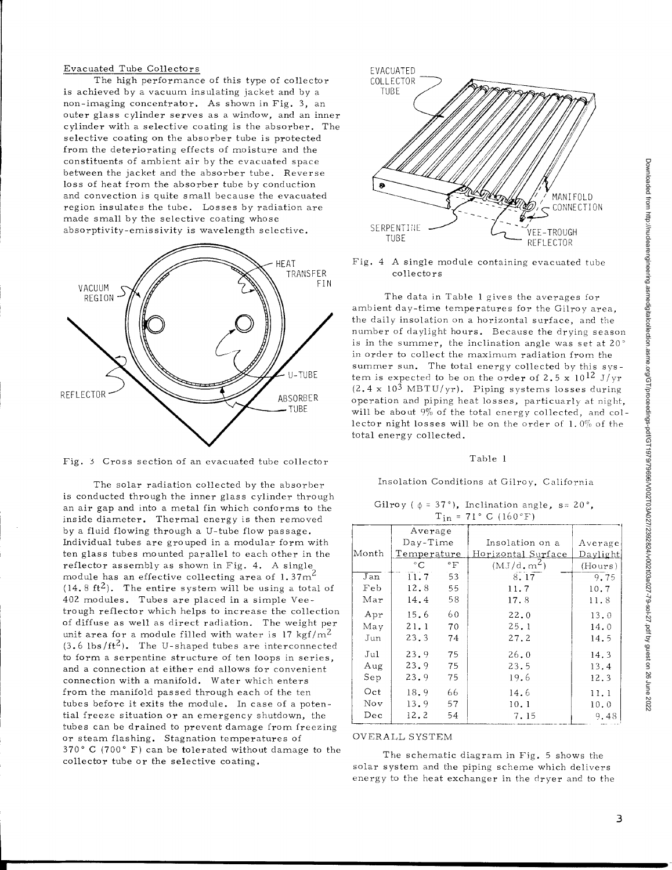Evacuated Tube Collectors EVACUATED The high performance of this type of collector COLLECTOR is achieved by a vacuum insulating jacket and by a TUBE non-imaging concentrator. As shown in Fig. 3, an outer glass cylinder serves as a window, and an inner cylinder with a selective coating is the absorber. The selective coating on the absorber tube is protected from the deteriorating effects of moisture and the constituents of ambient air by the evacuated space between the jacket and the absorber tube. Reverse loss of heat from the absorber tube by conduction and convection is quite small because the evacuated region insulates the tube. Losses by radiation are made small by the selective coating whose absorptivity-emissivity is wavelength selective. SERPENTINE





The solar radiation collected by the absorber is conducted through the inner glass cylinder through an air gap and into a metal fin which conforms to the inside diameter. Thermal energy is then removed by a fluid flowing through a U-tube flow passage. Individual tubes are grouped in a modular form with ten glass tubes mounted parallel to each other in the reflector assembly as shown in Fig. 4. A single module has an effective collecting area of 1.37 $m<sup>2</sup>$  $(14.8 \text{ ft}^2)$ . The entire system will be using a total of 402 modules. Tubes are placed in a simple Veetrough reflector which helps to increase the collection of diffuse as well as direct radiation. The weight per unit area for a module filled with water is 17 kgf/ $m^2$  $(3.6 \text{ lbs/ft}^2)$ . The U-shaped tubes are interconnected to form a serpentine structure of ten loops in series, and a connection at either end allows for convenient connection with a manifold. Water which enters from the manifold passed through each of the ten tubes before it exits the module. In case of a potential freeze situation or an emergency shutdown, the tubes can be drained to prevent damage from freezing or steam flashing. Stagnation temperatures of 370° C (700° F) can be tolerated without damage to the collector tube or the selective coating.



Fig. 4 A single module containing evacuated tube collectors

The data in Table 1 gives the averages for ambient day-time temperatures for the Gilroy area, the daily insolation on a horizontal surface, and the number of daylight hours. Because the drying season is in the summer, the inclination angle was set at 20' in order to collect the maximum radiation from the summer sun. The total energy collected by this system is expected to be on the order of 2.5 x  $10^{12}$  J/yr  $(2.4 \times 10^3 \text{ MBTU/yr})$ . Piping systems losses during operation and piping heat losses, particuarly at night, will be about 9% of the total energy collected, and collector night losses will be on the order of 1.0% of the total energy collected.

### Table 1

### Insolation Conditions at Gilroy, California

Gilroy ( $\phi = 37^{\circ}$ ), Inclination angle, s= 20°,  $T_{\text{in}} = 71$ ° C (160°F)

| $-1n - 11 - 01100 + 1$ |             |                 |                    |          |
|------------------------|-------------|-----------------|--------------------|----------|
|                        | Average     |                 |                    |          |
|                        | Day-Time    |                 | Insolation on a    | Average  |
| Month                  | Temperature |                 | Horizontal Surface | Daylight |
|                        | °C          | $\rm ^{\circ}F$ | $(MJ/d, m^2)$      | (Hours)  |
| Jan                    | 11.7        | 53              | 8.17               | 9.75     |
| Feb                    | 12.8        | 55              | 11.7               | 10.7     |
| Mar                    | 14.4        | 58              | 17.8               | 11.8     |
| $_{\rm Apr}$           | 15.6        | 60              | 22.0               | 13.0     |
| May                    | 21.1        | 70              | 25.1               | 14.0     |
| Jun                    | 23.3        | 74              | 27.2               | 14.5     |
| Jul                    | 23.9        | 75              | 26.0               | 14.3     |
| Aug                    | 23.9        | 75              | 23.5               | 13.4     |
| Sep                    | 23.9        | 75              | 19.6               | 12.3     |
| Oct                    | 18.9        | 66              | 14.6               | 11.1     |
| Nov                    | 13.9        | 57              | 10.1               | 10.0     |
| $_{\rm Dec}$           | 12.2        | 54              | 7.15               | 9.48     |

### OVERALL SYSTEM

The schematic diagram in Fig. 5 shows the solar system and the piping scheme which delivers energy to the heat exchanger in the dryer and to the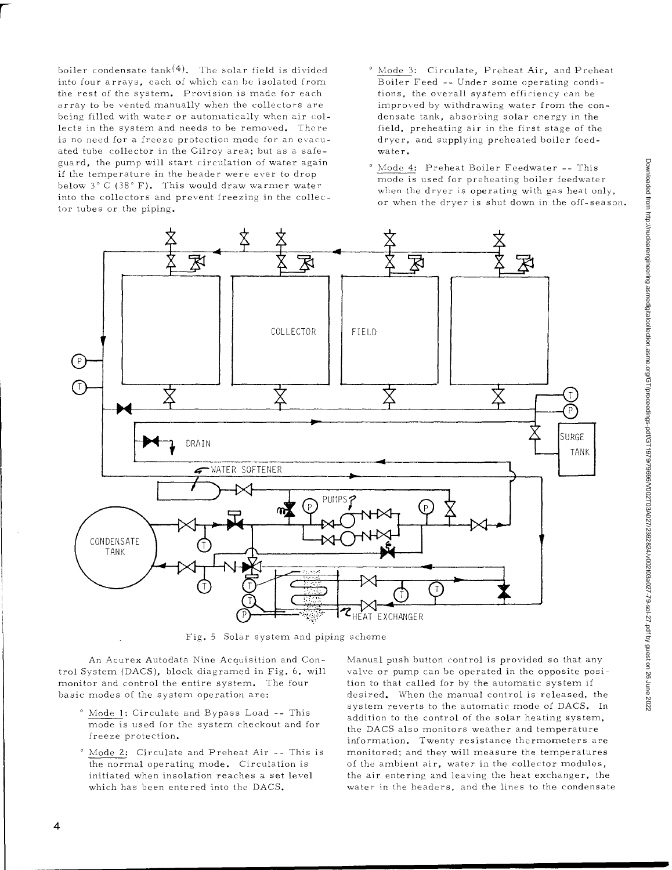boiler condensate  $tank(4)$ . The solar field is divided into four arrays, each of which can be isolated from the rest of the system. Provision is made for each array to be vented manually when the collectors are being filled with water or automatically when air collects in the system and needs to be removed. There is no need for a freeze protection mode for an evacuated tube collector in the Gilroy area; but as a safeguard, the pump will start circulation of water again if the temperature in the header were ever to drop below 3° C (38° F). This would draw warmer water into the collectors and prevent freezing in the collector tubes or the piping.

- ° Mode 3: Circulate, Preheat Air, and Preheat Boiler Feed -- Under some operating conditions, the overall system efficiency can be improved by withdrawing water from the condensate tank, absorbing solar energy in the field, preheating air in the first stage of the dryer, and supplying preheated boiler feedwater.
- ° Mode 4: Preheat Boiler Feedwater -- This mode is used for preheating boiler feedwater when the dryer is operating with gas heat only, or when the *dryer* is shut down in the off-season.



Fig. 5 Solar system and piping scheme

An Acurex Autodata Nine Acquisition and Control System (DACS), block diagramed in Fig. 6, will monitor and control the entire system. The four basic modes of the system operation are:

- ° Mode 1: Circulate and Bypass Load -- This mode is used for the system checkout and for freeze protection.
- ° Mode 2: Circulate and Preheat Air -- This is the normal operating mode. Circulation is initiated when insolation reaches a set level which has been entered into the DACS.

Manual push button control is provided so that any valve or pump can be operated in the opposite position to that called for by the automatic system if desired. When the manual control is released, the system reverts to the automatic mode of DACS. In addition to the control of the solar heating system, the DACS also monitors weather and temperature information. Twenty resistance thermometers are monitored; and they will measure the temperatures of the ambient air, water in the collector modules, the air entering and leaving the heat exchanger, the water in the headers, and the lines to the condensate